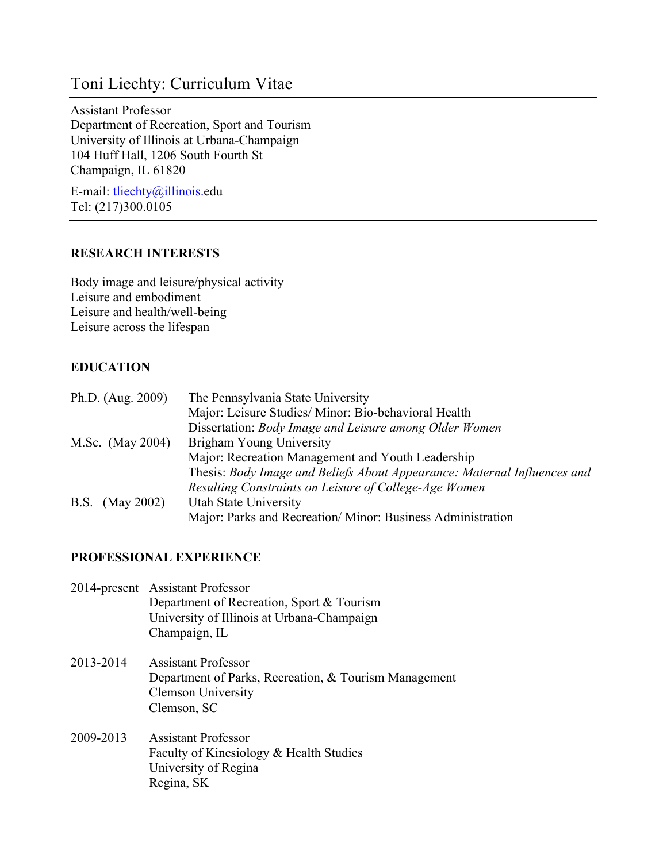Assistant Professor Department of Recreation, Sport and Tourism University of Illinois at Urbana-Champaign 104 Huff Hall, 1206 South Fourth St Champaign, IL 61820

E-mail: tliechty@illinois.edu Tel: (217)300.0105

#### **RESEARCH INTERESTS**

Body image and leisure/physical activity Leisure and embodiment Leisure and health/well-being Leisure across the lifespan

#### **EDUCATION**

| Ph.D. (Aug. 2009)  | The Pennsylvania State University                                        |
|--------------------|--------------------------------------------------------------------------|
|                    | Major: Leisure Studies/Minor: Bio-behavioral Health                      |
|                    | Dissertation: Body Image and Leisure among Older Women                   |
| M.Sc. (May 2004)   | Brigham Young University                                                 |
|                    | Major: Recreation Management and Youth Leadership                        |
|                    | Thesis: Body Image and Beliefs About Appearance: Maternal Influences and |
|                    | Resulting Constraints on Leisure of College-Age Women                    |
| B.S.<br>(May 2002) | Utah State University                                                    |
|                    | Major: Parks and Recreation/Minor: Business Administration               |

#### **PROFESSIONAL EXPERIENCE**

- 2014-present Assistant Professor Department of Recreation, Sport & Tourism University of Illinois at Urbana-Champaign Champaign, IL
- 2013-2014 Assistant Professor Department of Parks, Recreation, & Tourism Management Clemson University Clemson, SC
- 2009-2013 Assistant Professor Faculty of Kinesiology & Health Studies University of Regina Regina, SK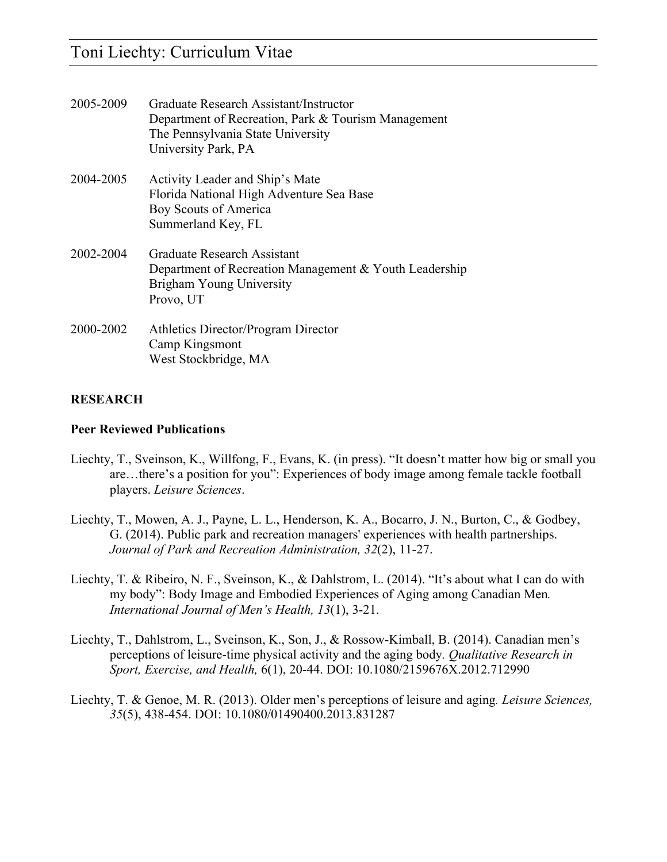| 2005-2009 | Graduate Research Assistant/Instructor<br>Department of Recreation, Park & Tourism Management<br>The Pennsylvania State University<br>University Park, PA |
|-----------|-----------------------------------------------------------------------------------------------------------------------------------------------------------|
| 2004-2005 | Activity Leader and Ship's Mate<br>Florida National High Adventure Sea Base<br>Boy Scouts of America<br>Summerland Key, FL                                |
| 2002-2004 | Graduate Research Assistant<br>Department of Recreation Management & Youth Leadership<br>Brigham Young University<br>Provo, UT                            |
| 2000-2002 | Athletics Director/Program Director<br>Camp Kingsmont<br>West Stockbridge, MA                                                                             |

### **RESEARCH**

#### **Peer Reviewed Publications**

- Liechty, T., Sveinson, K., Willfong, F., Evans, K. (in press). "It doesn't matter how big or small you are…there's a position for you": Experiences of body image among female tackle football players. *Leisure Sciences*.
- Liechty, T., Mowen, A. J., Payne, L. L., Henderson, K. A., Bocarro, J. N., Burton, C., & Godbey, G. (2014). Public park and recreation managers' experiences with health partnerships. *Journal of Park and Recreation Administration, 32*(2), 11-27.
- Liechty, T. & Ribeiro, N. F., Sveinson, K., & Dahlstrom, L. (2014). "It's about what I can do with my body": Body Image and Embodied Experiences of Aging among Canadian Men*. International Journal of Men's Health, 13*(1), 3-21.
- Liechty, T., Dahlstrom, L., Sveinson, K., Son, J., & Rossow-Kimball, B. (2014). Canadian men's perceptions of leisure-time physical activity and the aging body*. Qualitative Research in Sport, Exercise, and Health,* 6(1), 20-44. DOI: 10.1080/2159676X.2012.712990
- Liechty, T. & Genoe, M. R. (2013). Older men's perceptions of leisure and aging*. Leisure Sciences, 35*(5), 438-454. DOI: 10.1080/01490400.2013.831287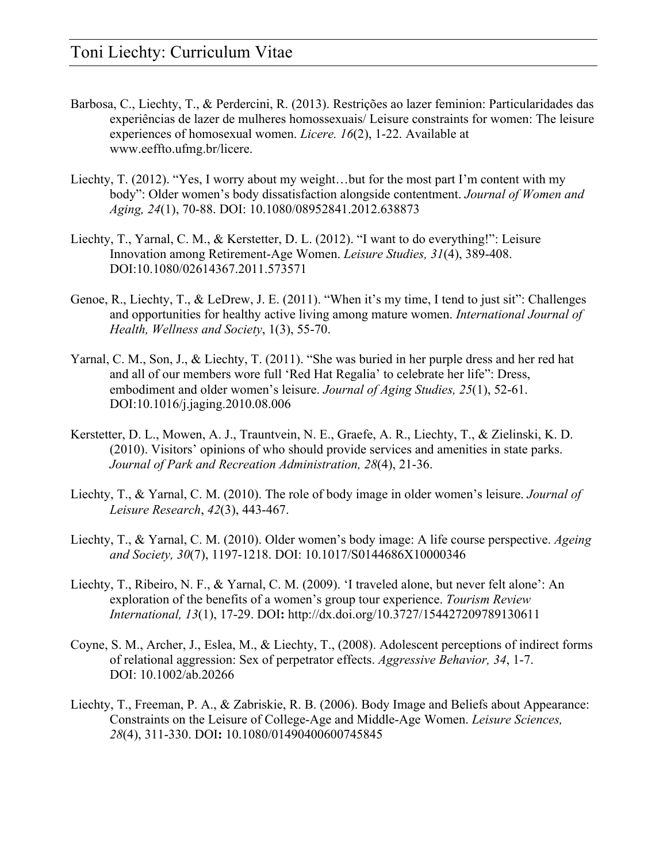- Barbosa, C., Liechty, T., & Perdercini, R. (2013). Restrições ao lazer feminion: Particularidades das experiências de lazer de mulheres homossexuais/ Leisure constraints for women: The leisure experiences of homosexual women. *Licere. 16*(2), 1-22. Available at www.eeffto.ufmg.br/licere.
- Liechty, T. (2012). "Yes, I worry about my weight…but for the most part I'm content with my body": Older women's body dissatisfaction alongside contentment. *Journal of Women and Aging, 24*(1), 70-88. DOI: 10.1080/08952841.2012.638873
- Liechty, T., Yarnal, C. M., & Kerstetter, D. L. (2012). "I want to do everything!": Leisure Innovation among Retirement-Age Women. *Leisure Studies, 31*(4), 389-408. DOI:10.1080/02614367.2011.573571
- Genoe, R., Liechty, T., & LeDrew, J. E. (2011). "When it's my time, I tend to just sit": Challenges and opportunities for healthy active living among mature women. *International Journal of Health, Wellness and Society*, 1(3), 55-70.
- Yarnal, C. M., Son, J., & Liechty, T. (2011). "She was buried in her purple dress and her red hat and all of our members wore full 'Red Hat Regalia' to celebrate her life": Dress, embodiment and older women's leisure. *Journal of Aging Studies, 25*(1), 52-61. DOI:10.1016/j.jaging.2010.08.006
- Kerstetter, D. L., Mowen, A. J., Trauntvein, N. E., Graefe, A. R., Liechty, T., & Zielinski, K. D. (2010). Visitors' opinions of who should provide services and amenities in state parks. *Journal of Park and Recreation Administration, 28*(4), 21-36.
- Liechty, T., & Yarnal, C. M. (2010). The role of body image in older women's leisure. *Journal of Leisure Research*, *42*(3), 443-467.
- Liechty, T., & Yarnal, C. M. (2010). Older women's body image: A life course perspective. *Ageing and Society, 30*(7), 1197-1218. DOI: 10.1017/S0144686X10000346
- Liechty, T., Ribeiro, N. F., & Yarnal, C. M. (2009). 'I traveled alone, but never felt alone': An exploration of the benefits of a women's group tour experience. *Tourism Review International, 13*(1), 17-29. DOI**:** http://dx.doi.org/10.3727/154427209789130611
- Coyne, S. M., Archer, J., Eslea, M., & Liechty, T., (2008). Adolescent perceptions of indirect forms of relational aggression: Sex of perpetrator effects. *Aggressive Behavior, 34*, 1-7. DOI: 10.1002/ab.20266
- Liechty, T., Freeman, P. A., & Zabriskie, R. B. (2006). Body Image and Beliefs about Appearance: Constraints on the Leisure of College-Age and Middle-Age Women. *Leisure Sciences, 28*(4), 311-330. DOI**:** 10.1080/01490400600745845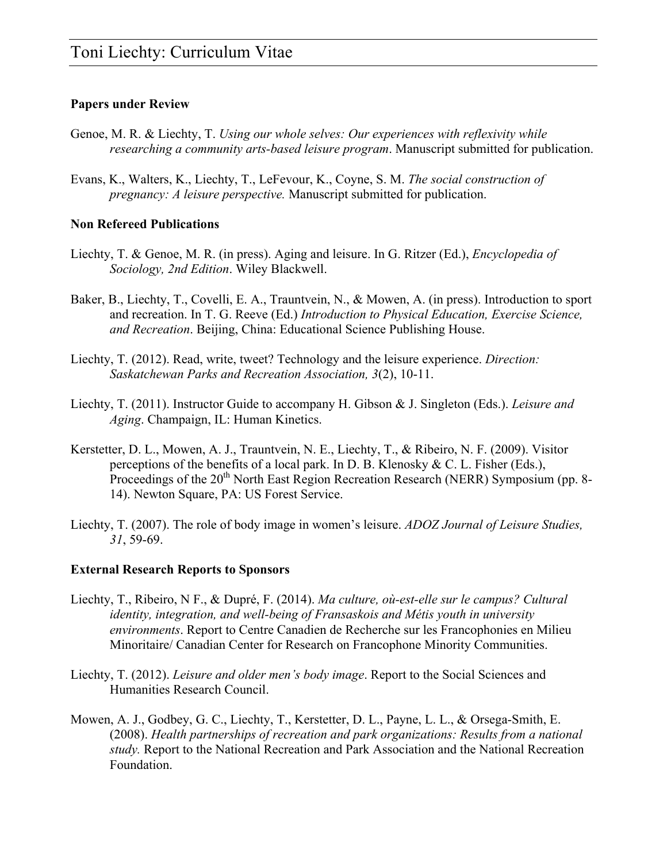### **Papers under Review**

- Genoe, M. R. & Liechty, T. *Using our whole selves: Our experiences with reflexivity while researching a community arts-based leisure program*. Manuscript submitted for publication.
- Evans, K., Walters, K., Liechty, T., LeFevour, K., Coyne, S. M. *The social construction of pregnancy: A leisure perspective.* Manuscript submitted for publication.

### **Non Refereed Publications**

- Liechty, T. & Genoe, M. R. (in press). Aging and leisure. In G. Ritzer (Ed.), *Encyclopedia of Sociology, 2nd Edition*. Wiley Blackwell.
- Baker, B., Liechty, T., Covelli, E. A., Trauntvein, N., & Mowen, A. (in press). Introduction to sport and recreation. In T. G. Reeve (Ed.) *Introduction to Physical Education, Exercise Science, and Recreation*. Beijing, China: Educational Science Publishing House.
- Liechty, T. (2012). Read, write, tweet? Technology and the leisure experience. *Direction: Saskatchewan Parks and Recreation Association, 3*(2), 10-11.
- Liechty, T. (2011). Instructor Guide to accompany H. Gibson & J. Singleton (Eds.). *Leisure and Aging*. Champaign, IL: Human Kinetics.
- Kerstetter, D. L., Mowen, A. J., Trauntvein, N. E., Liechty, T., & Ribeiro, N. F. (2009). Visitor perceptions of the benefits of a local park. In D. B. Klenosky & C. L. Fisher (Eds.), Proceedings of the 20<sup>th</sup> North East Region Recreation Research (NERR) Symposium (pp. 8-14). Newton Square, PA: US Forest Service.
- Liechty, T. (2007). The role of body image in women's leisure. *ADOZ Journal of Leisure Studies, 31*, 59-69.

### **External Research Reports to Sponsors**

- Liechty, T., Ribeiro, N F., & Dupré, F. (2014). *Ma culture, où-est-elle sur le campus? Cultural identity, integration, and well-being of Fransaskois and Métis youth in university environments*. Report to Centre Canadien de Recherche sur les Francophonies en Milieu Minoritaire/ Canadian Center for Research on Francophone Minority Communities.
- Liechty, T. (2012). *Leisure and older men's body image*. Report to the Social Sciences and Humanities Research Council.
- Mowen, A. J., Godbey, G. C., Liechty, T., Kerstetter, D. L., Payne, L. L., & Orsega-Smith, E. (2008). *Health partnerships of recreation and park organizations: Results from a national study.* Report to the National Recreation and Park Association and the National Recreation Foundation.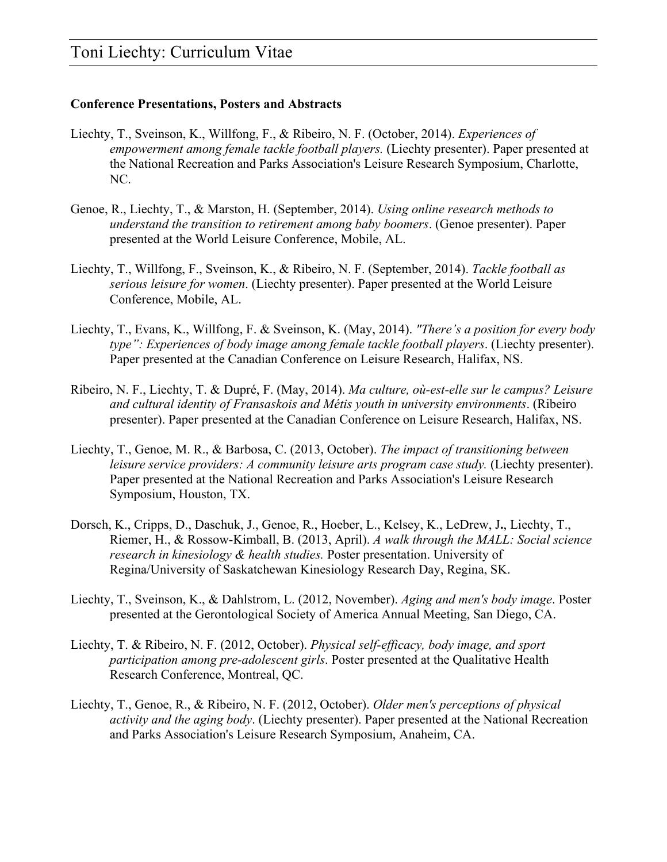### **Conference Presentations, Posters and Abstracts**

- Liechty, T., Sveinson, K., Willfong, F., & Ribeiro, N. F. (October, 2014). *Experiences of empowerment among female tackle football players.* (Liechty presenter). Paper presented at the National Recreation and Parks Association's Leisure Research Symposium, Charlotte, NC.
- Genoe, R., Liechty, T., & Marston, H. (September, 2014). *Using online research methods to understand the transition to retirement among baby boomers*. (Genoe presenter). Paper presented at the World Leisure Conference, Mobile, AL.
- Liechty, T., Willfong, F., Sveinson, K., & Ribeiro, N. F. (September, 2014). *Tackle football as serious leisure for women*. (Liechty presenter). Paper presented at the World Leisure Conference, Mobile, AL.
- Liechty, T., Evans, K., Willfong, F. & Sveinson, K. (May, 2014). *"There's a position for every body type": Experiences of body image among female tackle football players*. (Liechty presenter). Paper presented at the Canadian Conference on Leisure Research, Halifax, NS.
- Ribeiro, N. F., Liechty, T. & Dupré, F. (May, 2014). *Ma culture, où-est-elle sur le campus? Leisure and cultural identity of Fransaskois and Métis youth in university environments*. (Ribeiro presenter). Paper presented at the Canadian Conference on Leisure Research, Halifax, NS.
- Liechty, T., Genoe, M. R., & Barbosa, C. (2013, October). *The impact of transitioning between leisure service providers: A community leisure arts program case study.* (Liechty presenter). Paper presented at the National Recreation and Parks Association's Leisure Research Symposium, Houston, TX.
- Dorsch, K., Cripps, D., Daschuk, J., Genoe, R., Hoeber, L., Kelsey, K., LeDrew, J**.**, Liechty, T., Riemer, H., & Rossow-Kimball, B. (2013, April). *A walk through the MALL: Social science research in kinesiology & health studies.* Poster presentation. University of Regina/University of Saskatchewan Kinesiology Research Day, Regina, SK.
- Liechty, T., Sveinson, K., & Dahlstrom, L. (2012, November). *Aging and men's body image*. Poster presented at the Gerontological Society of America Annual Meeting, San Diego, CA.
- Liechty, T. & Ribeiro, N. F. (2012, October). *Physical self-efficacy, body image, and sport participation among pre-adolescent girls*. Poster presented at the Qualitative Health Research Conference, Montreal, QC.
- Liechty, T., Genoe, R., & Ribeiro, N. F. (2012, October). *Older men's perceptions of physical activity and the aging body*. (Liechty presenter). Paper presented at the National Recreation and Parks Association's Leisure Research Symposium, Anaheim, CA.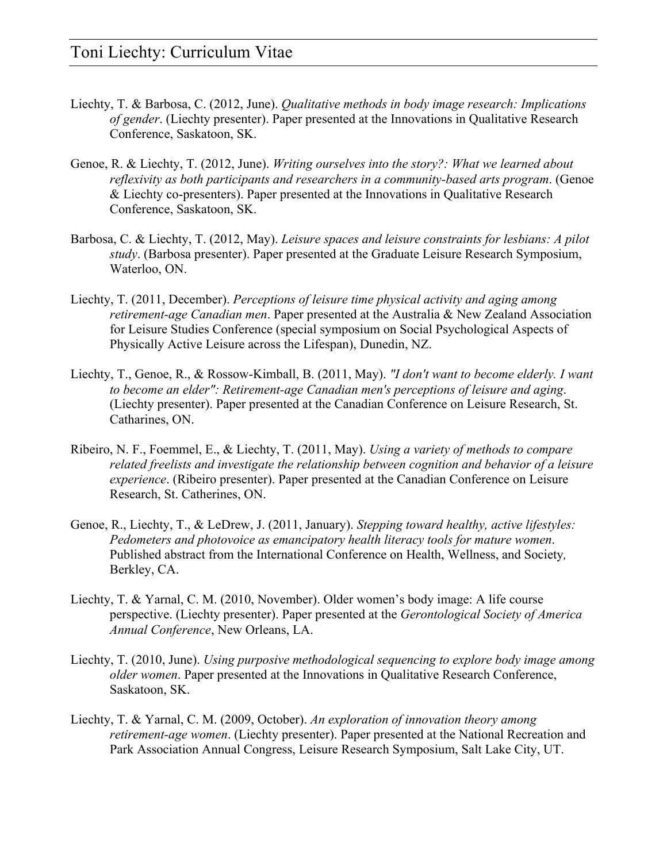- Liechty, T. & Barbosa, C. (2012, June). *Qualitative methods in body image research: Implications of gender*. (Liechty presenter). Paper presented at the Innovations in Qualitative Research Conference, Saskatoon, SK.
- Genoe, R. & Liechty, T. (2012, June). *Writing ourselves into the story?: What we learned about reflexivity as both participants and researchers in a community-based arts program*. (Genoe & Liechty co-presenters). Paper presented at the Innovations in Qualitative Research Conference, Saskatoon, SK.
- Barbosa, C. & Liechty, T. (2012, May). *Leisure spaces and leisure constraints for lesbians: A pilot study*. (Barbosa presenter). Paper presented at the Graduate Leisure Research Symposium, Waterloo, ON.
- Liechty, T. (2011, December). *Perceptions of leisure time physical activity and aging among retirement-age Canadian men*. Paper presented at the Australia & New Zealand Association for Leisure Studies Conference (special symposium on Social Psychological Aspects of Physically Active Leisure across the Lifespan), Dunedin, NZ.
- Liechty, T., Genoe, R., & Rossow-Kimball, B. (2011, May). *"I don't want to become elderly. I want to become an elder": Retirement-age Canadian men's perceptions of leisure and aging*. (Liechty presenter). Paper presented at the Canadian Conference on Leisure Research, St. Catharines, ON.
- Ribeiro, N. F., Foemmel, E., & Liechty, T. (2011, May). *Using a variety of methods to compare related freelists and investigate the relationship between cognition and behavior of a leisure experience*. (Ribeiro presenter). Paper presented at the Canadian Conference on Leisure Research, St. Catherines, ON.
- Genoe, R., Liechty, T., & LeDrew, J. (2011, January). *Stepping toward healthy, active lifestyles: Pedometers and photovoice as emancipatory health literacy tools for mature women*. Published abstract from the International Conference on Health, Wellness, and Society*,*  Berkley, CA.
- Liechty, T. & Yarnal, C. M. (2010, November). Older women's body image: A life course perspective. (Liechty presenter). Paper presented at the *Gerontological Society of America Annual Conference*, New Orleans, LA.
- Liechty, T. (2010, June). *Using purposive methodological sequencing to explore body image among older women*. Paper presented at the Innovations in Qualitative Research Conference, Saskatoon, SK.
- Liechty, T. & Yarnal, C. M. (2009, October). *An exploration of innovation theory among retirement-age women*. (Liechty presenter). Paper presented at the National Recreation and Park Association Annual Congress, Leisure Research Symposium, Salt Lake City, UT.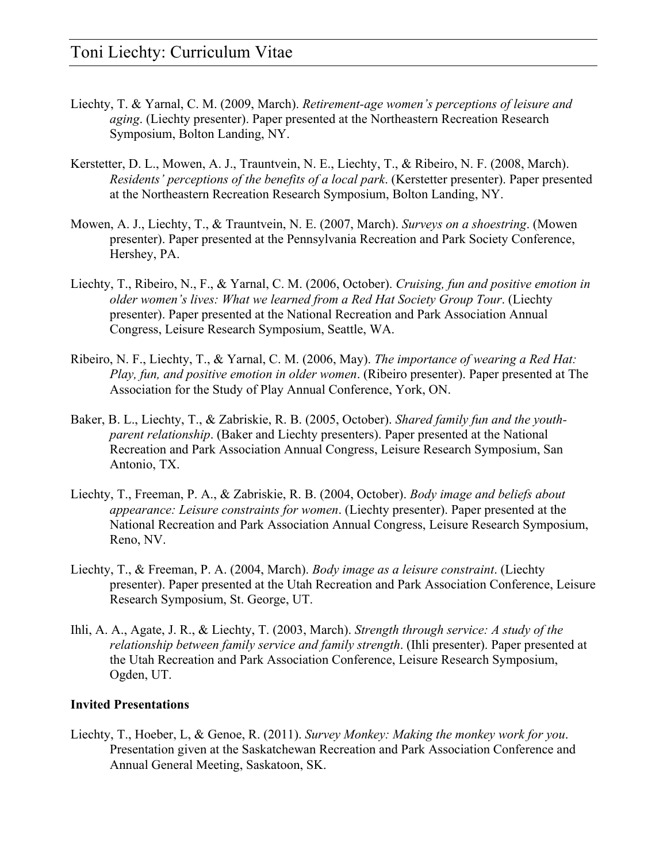- Liechty, T. & Yarnal, C. M. (2009, March). *Retirement-age women's perceptions of leisure and aging*. (Liechty presenter). Paper presented at the Northeastern Recreation Research Symposium, Bolton Landing, NY.
- Kerstetter, D. L., Mowen, A. J., Trauntvein, N. E., Liechty, T., & Ribeiro, N. F. (2008, March). *Residents' perceptions of the benefits of a local park*. (Kerstetter presenter). Paper presented at the Northeastern Recreation Research Symposium, Bolton Landing, NY.
- Mowen, A. J., Liechty, T., & Trauntvein, N. E. (2007, March). *Surveys on a shoestring*. (Mowen presenter). Paper presented at the Pennsylvania Recreation and Park Society Conference, Hershey, PA.
- Liechty, T., Ribeiro, N., F., & Yarnal, C. M. (2006, October). *Cruising, fun and positive emotion in older women's lives: What we learned from a Red Hat Society Group Tour*. (Liechty presenter). Paper presented at the National Recreation and Park Association Annual Congress, Leisure Research Symposium, Seattle, WA.
- Ribeiro, N. F., Liechty, T., & Yarnal, C. M. (2006, May). *The importance of wearing a Red Hat: Play, fun, and positive emotion in older women*. (Ribeiro presenter). Paper presented at The Association for the Study of Play Annual Conference, York, ON.
- Baker, B. L., Liechty, T., & Zabriskie, R. B. (2005, October). *Shared family fun and the youthparent relationship*. (Baker and Liechty presenters). Paper presented at the National Recreation and Park Association Annual Congress, Leisure Research Symposium, San Antonio, TX.
- Liechty, T., Freeman, P. A., & Zabriskie, R. B. (2004, October). *Body image and beliefs about appearance: Leisure constraints for women*. (Liechty presenter). Paper presented at the National Recreation and Park Association Annual Congress, Leisure Research Symposium, Reno, NV.
- Liechty, T., & Freeman, P. A. (2004, March). *Body image as a leisure constraint*. (Liechty presenter). Paper presented at the Utah Recreation and Park Association Conference, Leisure Research Symposium, St. George, UT.
- Ihli, A. A., Agate, J. R., & Liechty, T. (2003, March). *Strength through service: A study of the relationship between family service and family strength*. (Ihli presenter). Paper presented at the Utah Recreation and Park Association Conference, Leisure Research Symposium, Ogden, UT.

### **Invited Presentations**

Liechty, T., Hoeber, L, & Genoe, R. (2011). *Survey Monkey: Making the monkey work for you*. Presentation given at the Saskatchewan Recreation and Park Association Conference and Annual General Meeting, Saskatoon, SK.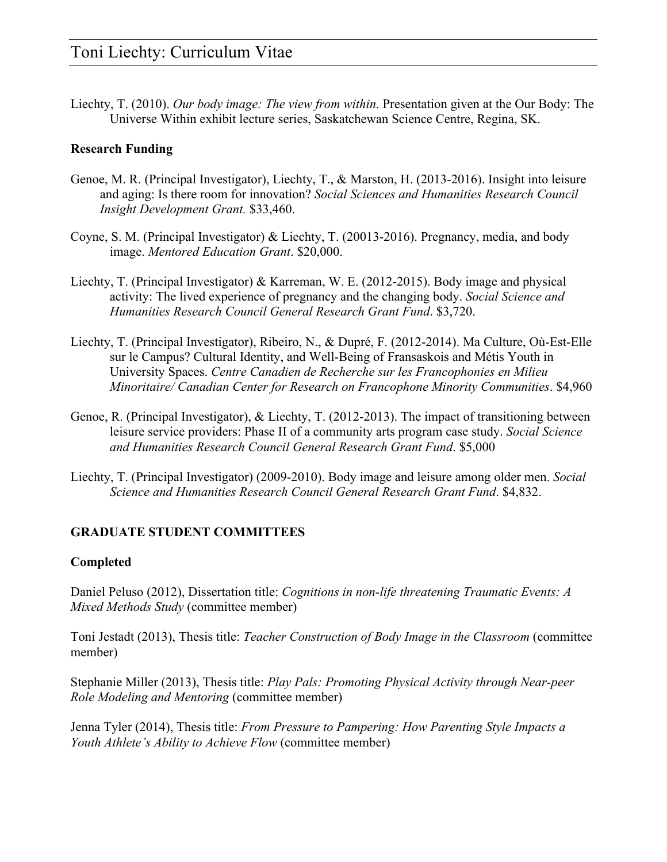Liechty, T. (2010). *Our body image: The view from within*. Presentation given at the Our Body: The Universe Within exhibit lecture series, Saskatchewan Science Centre, Regina, SK.

### **Research Funding**

- Genoe, M. R. (Principal Investigator), Liechty, T., & Marston, H. (2013-2016). Insight into leisure and aging: Is there room for innovation? *Social Sciences and Humanities Research Council Insight Development Grant.* \$33,460.
- Coyne, S. M. (Principal Investigator) & Liechty, T. (20013-2016). Pregnancy, media, and body image. *Mentored Education Grant*. \$20,000.
- Liechty, T. (Principal Investigator) & Karreman, W. E. (2012-2015). Body image and physical activity: The lived experience of pregnancy and the changing body. *Social Science and Humanities Research Council General Research Grant Fund*. \$3,720.
- Liechty, T. (Principal Investigator), Ribeiro, N., & Dupré, F. (2012-2014). Ma Culture, Où-Est-Elle sur le Campus? Cultural Identity, and Well-Being of Fransaskois and Métis Youth in University Spaces. *Centre Canadien de Recherche sur les Francophonies en Milieu Minoritaire/ Canadian Center for Research on Francophone Minority Communities*. \$4,960
- Genoe, R. (Principal Investigator), & Liechty, T. (2012-2013). The impact of transitioning between leisure service providers: Phase II of a community arts program case study. *Social Science and Humanities Research Council General Research Grant Fund*. \$5,000
- Liechty, T. (Principal Investigator) (2009-2010). Body image and leisure among older men. *Social Science and Humanities Research Council General Research Grant Fund*. \$4,832.

### **GRADUATE STUDENT COMMITTEES**

### **Completed**

Daniel Peluso (2012), Dissertation title: *Cognitions in non-life threatening Traumatic Events: A Mixed Methods Study* (committee member)

Toni Jestadt (2013), Thesis title: *Teacher Construction of Body Image in the Classroom* (committee member)

Stephanie Miller (2013), Thesis title: *Play Pals: Promoting Physical Activity through Near-peer Role Modeling and Mentoring* (committee member)

Jenna Tyler (2014), Thesis title: *From Pressure to Pampering: How Parenting Style Impacts a Youth Athlete's Ability to Achieve Flow* (committee member)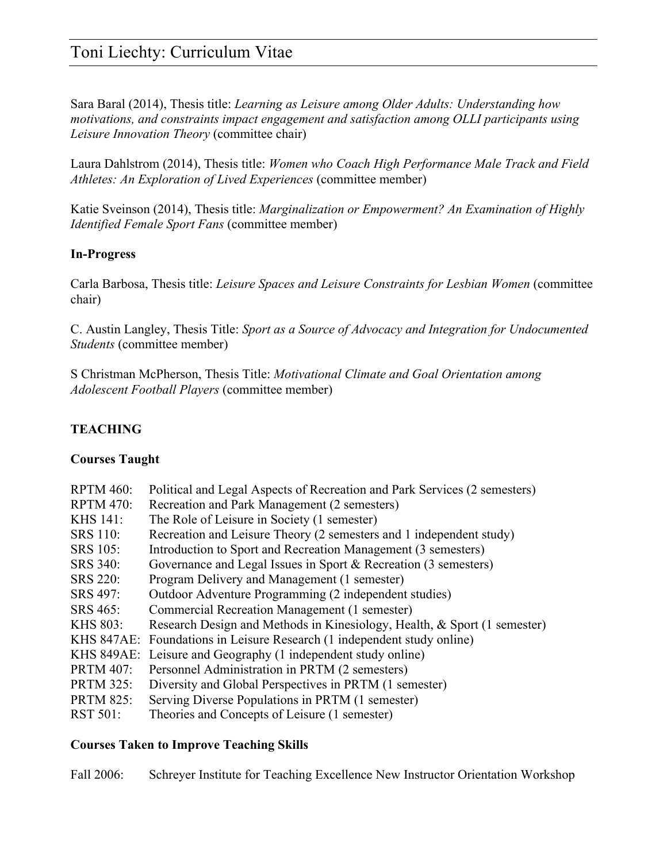Sara Baral (2014), Thesis title: *Learning as Leisure among Older Adults: Understanding how motivations, and constraints impact engagement and satisfaction among OLLI participants using Leisure Innovation Theory* (committee chair)

Laura Dahlstrom (2014), Thesis title: *Women who Coach High Performance Male Track and Field Athletes: An Exploration of Lived Experiences* (committee member)

Katie Sveinson (2014), Thesis title: *Marginalization or Empowerment? An Examination of Highly Identified Female Sport Fans* (committee member)

### **In-Progress**

Carla Barbosa, Thesis title: *Leisure Spaces and Leisure Constraints for Lesbian Women* (committee chair)

C. Austin Langley, Thesis Title: *Sport as a Source of Advocacy and Integration for Undocumented Students* (committee member)

S Christman McPherson, Thesis Title: *Motivational Climate and Goal Orientation among Adolescent Football Players* (committee member)

### **TEACHING**

### **Courses Taught**

| Political and Legal Aspects of Recreation and Park Services (2 semesters) |
|---------------------------------------------------------------------------|
| Recreation and Park Management (2 semesters)                              |
| The Role of Leisure in Society (1 semester)                               |
| Recreation and Leisure Theory (2 semesters and 1 independent study)       |
| Introduction to Sport and Recreation Management (3 semesters)             |
| Governance and Legal Issues in Sport & Recreation (3 semesters)           |
| Program Delivery and Management (1 semester)                              |
| Outdoor Adventure Programming (2 independent studies)                     |
| Commercial Recreation Management (1 semester)                             |
| Research Design and Methods in Kinesiology, Health, & Sport (1 semester)  |
| KHS 847AE: Foundations in Leisure Research (1 independent study online)   |
| KHS 849AE: Leisure and Geography (1 independent study online)             |
| Personnel Administration in PRTM (2 semesters)                            |
| Diversity and Global Perspectives in PRTM (1 semester)                    |
| Serving Diverse Populations in PRTM (1 semester)                          |
| Theories and Concepts of Leisure (1 semester)                             |
|                                                                           |

### **Courses Taken to Improve Teaching Skills**

Fall 2006: Schreyer Institute for Teaching Excellence New Instructor Orientation Workshop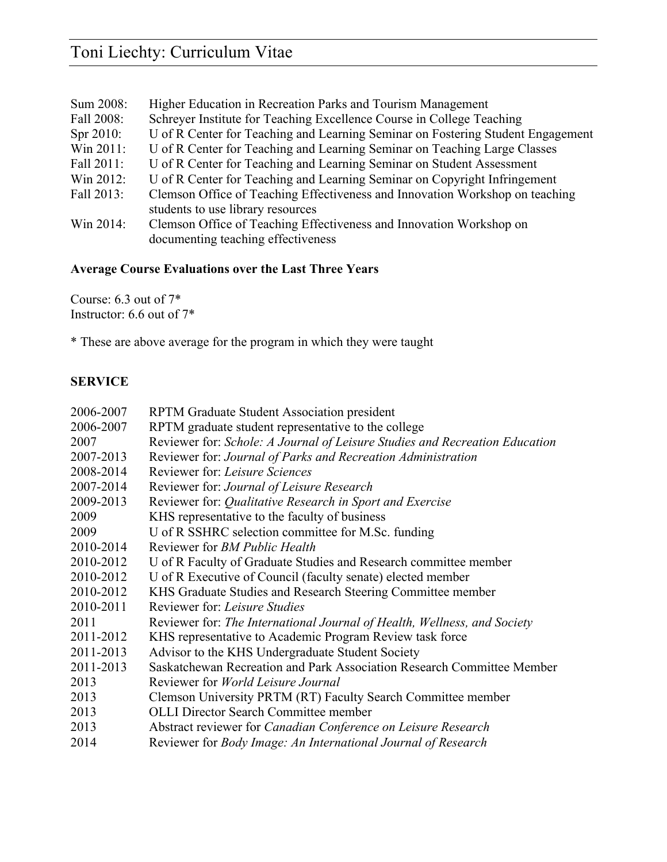| Sum 2008:    | Higher Education in Recreation Parks and Tourism Management                     |
|--------------|---------------------------------------------------------------------------------|
| Fall 2008:   | Schreyer Institute for Teaching Excellence Course in College Teaching           |
| Spr $2010$ : | U of R Center for Teaching and Learning Seminar on Fostering Student Engagement |
| Win 2011:    | U of R Center for Teaching and Learning Seminar on Teaching Large Classes       |
| Fall 2011:   | U of R Center for Teaching and Learning Seminar on Student Assessment           |
| Win 2012:    | U of R Center for Teaching and Learning Seminar on Copyright Infringement       |
| Fall 2013:   | Clemson Office of Teaching Effectiveness and Innovation Workshop on teaching    |
|              | students to use library resources                                               |
| Win 2014:    | Clemson Office of Teaching Effectiveness and Innovation Workshop on             |
|              | documenting teaching effectiveness                                              |

### **Average Course Evaluations over the Last Three Years**

Course: 6.3 out of 7\* Instructor: 6.6 out of 7\*

\* These are above average for the program in which they were taught

### **SERVICE**

| 2006-2007 | RPTM Graduate Student Association president                                 |
|-----------|-----------------------------------------------------------------------------|
| 2006-2007 | RPTM graduate student representative to the college                         |
| 2007      | Reviewer for: Schole: A Journal of Leisure Studies and Recreation Education |
| 2007-2013 | Reviewer for: Journal of Parks and Recreation Administration                |
| 2008-2014 | Reviewer for: Leisure Sciences                                              |
| 2007-2014 | Reviewer for: Journal of Leisure Research                                   |
| 2009-2013 | Reviewer for: Qualitative Research in Sport and Exercise                    |
| 2009      | KHS representative to the faculty of business                               |
| 2009      | U of R SSHRC selection committee for M.Sc. funding                          |
| 2010-2014 | Reviewer for <i>BM Public Health</i>                                        |
| 2010-2012 | U of R Faculty of Graduate Studies and Research committee member            |
| 2010-2012 | U of R Executive of Council (faculty senate) elected member                 |
| 2010-2012 | KHS Graduate Studies and Research Steering Committee member                 |
| 2010-2011 | Reviewer for: Leisure Studies                                               |
| 2011      | Reviewer for: The International Journal of Health, Wellness, and Society    |
| 2011-2012 | KHS representative to Academic Program Review task force                    |
| 2011-2013 | Advisor to the KHS Undergraduate Student Society                            |
| 2011-2013 | Saskatchewan Recreation and Park Association Research Committee Member      |
| 2013      | Reviewer for <i>World Leisure Journal</i>                                   |
| 2013      | Clemson University PRTM (RT) Faculty Search Committee member                |
| 2013      | <b>OLLI Director Search Committee member</b>                                |
| 2013      | Abstract reviewer for Canadian Conference on Leisure Research               |
| 2014      | Reviewer for Body Image: An International Journal of Research               |